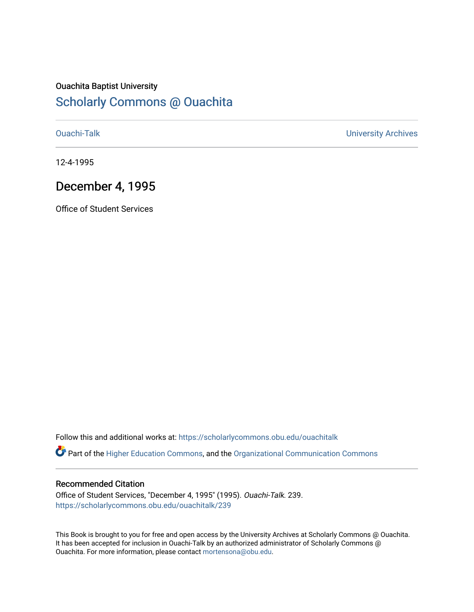## Ouachita Baptist University

## [Scholarly Commons @ Ouachita](https://scholarlycommons.obu.edu/)

[Ouachi-Talk](https://scholarlycommons.obu.edu/ouachitalk) [University Archives](https://scholarlycommons.obu.edu/universityarchives) 

12-4-1995

## December 4, 1995

Office of Student Services

Follow this and additional works at: [https://scholarlycommons.obu.edu/ouachitalk](https://scholarlycommons.obu.edu/ouachitalk?utm_source=scholarlycommons.obu.edu%2Fouachitalk%2F239&utm_medium=PDF&utm_campaign=PDFCoverPages) 

Part of the [Higher Education Commons,](http://network.bepress.com/hgg/discipline/1245?utm_source=scholarlycommons.obu.edu%2Fouachitalk%2F239&utm_medium=PDF&utm_campaign=PDFCoverPages) and the [Organizational Communication Commons](http://network.bepress.com/hgg/discipline/335?utm_source=scholarlycommons.obu.edu%2Fouachitalk%2F239&utm_medium=PDF&utm_campaign=PDFCoverPages)

## Recommended Citation

Office of Student Services, "December 4, 1995" (1995). Ouachi-Talk. 239. [https://scholarlycommons.obu.edu/ouachitalk/239](https://scholarlycommons.obu.edu/ouachitalk/239?utm_source=scholarlycommons.obu.edu%2Fouachitalk%2F239&utm_medium=PDF&utm_campaign=PDFCoverPages) 

This Book is brought to you for free and open access by the University Archives at Scholarly Commons @ Ouachita. It has been accepted for inclusion in Ouachi-Talk by an authorized administrator of Scholarly Commons @ Ouachita. For more information, please contact [mortensona@obu.edu](mailto:mortensona@obu.edu).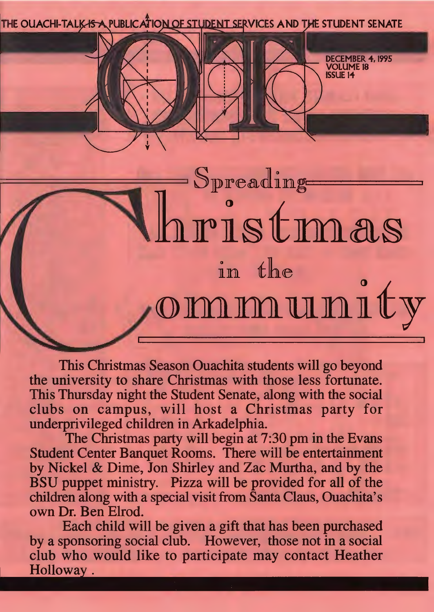THE OUACHI-TALK-IS A PUBLICATION OF STUDENT SERVICES AND THE STUDENT SENATE

DECEMBER 4, 1995 VOLUME IS **ISSUE 14** 

ommunity This Christmas Season Ouachita students will go beyond the university to share Christmas with those less fortunate. This Thursday night the Student Senate, along with the social clubs on campus, will host a Christmas party for underprivileged children in Arkadelphia.

 $=\mathrm{S}_\mathrm{preadling}$ 

in the

ri8tma§

The Christmas party will begin at 7:30 pm in the Evans Student Center Banquet Rooms. There will be entertainment by Nickel & Dime, Jon Shirley and Zac Murtha, and by the BSU puppet ministry. Pizza will be provided for all of the children along with a special visit from Santa Claus, Ouachita's own Dr. Ben Elrod.

Each child will be given a gift that has been purchased by a sponsoring social club. However, those not in a social club who would like to participate may contact Heather Holloway.